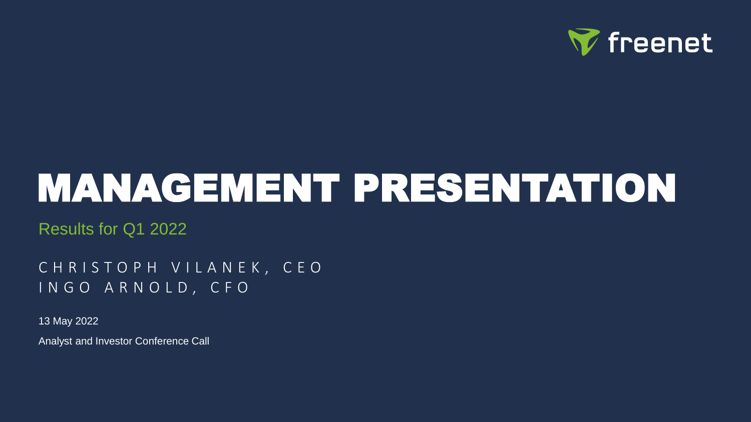

# MANAGEMENT PRESENTATION

Results for Q1 2022

CHRISTOPH VILANEK, CEO I N G O A R N O L D , C F O

13 May 2022 Analyst and Investor Conference Call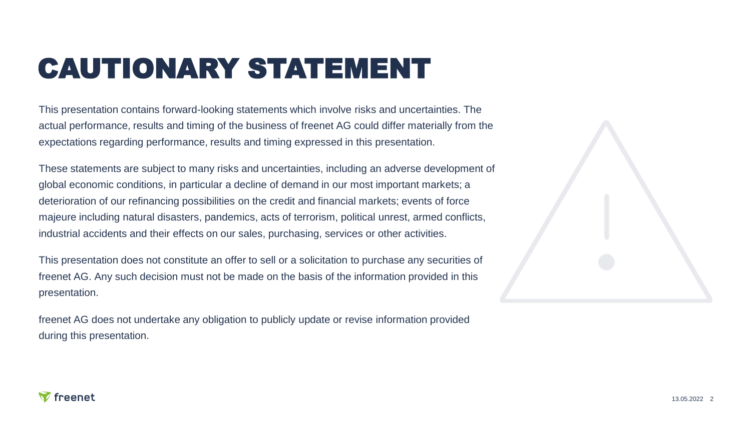## CAUTIONARY STATEMENT

This presentation contains forward-looking statements which involve risks and uncertainties. The actual performance, results and timing of the business of freenet AG could differ materially from the expectations regarding performance, results and timing expressed in this presentation.

These statements are subject to many risks and uncertainties, including an adverse development of global economic conditions, in particular a decline of demand in our most important markets; a deterioration of our refinancing possibilities on the credit and financial markets; events of force majeure including natural disasters, pandemics, acts of terrorism, political unrest, armed conflicts, industrial accidents and their effects on our sales, purchasing, services or other activities.

This presentation does not constitute an offer to sell or a solicitation to purchase any securities of freenet AG. Any such decision must not be made on the basis of the information provided in this presentation.

freenet AG does not undertake any obligation to publicly update or revise information provided during this presentation.

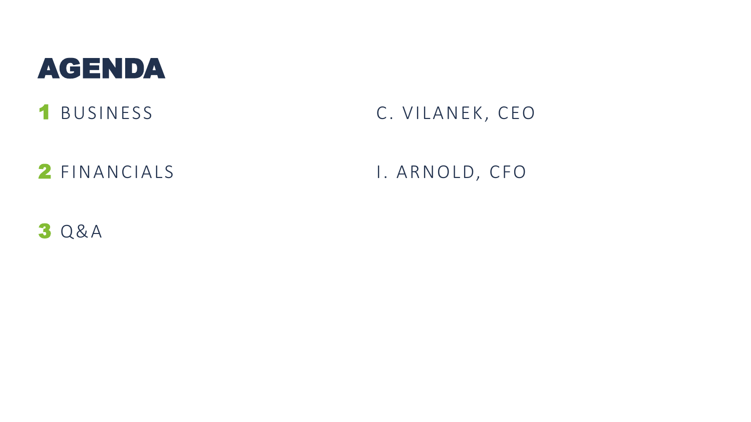### AGENDA

### 1 BUSINESS C. VILANEK, CEO

2 FINANCIALS 1. ARNOLD, CFO

3 Q&A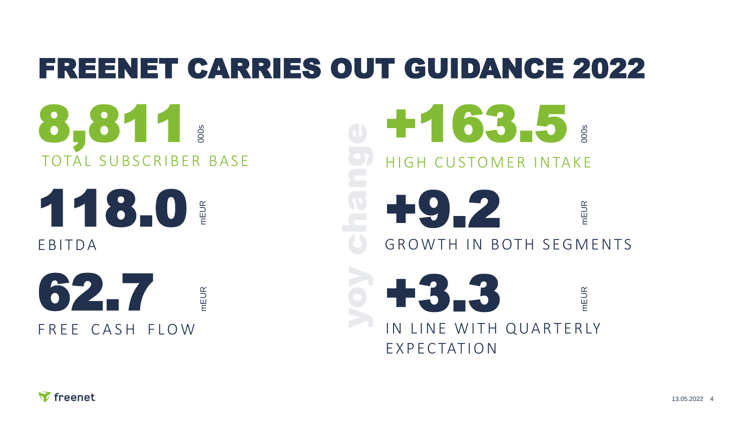## FREENET CARRIES OUT GUIDANCE 2022

8,811 TOTAL SUBSCRIBER BASE

mEUR

118.0 **EBITDA** 

62.7 mEUR FRFF CASH FLOW

+163.5 HIGH CUSTOMER INTAKE +3.3 mEUR IN LINE WITH QUARTERLY E X P E C TAT I O N +9.2 mEUR GROWTH IN BOTH SEGMENTS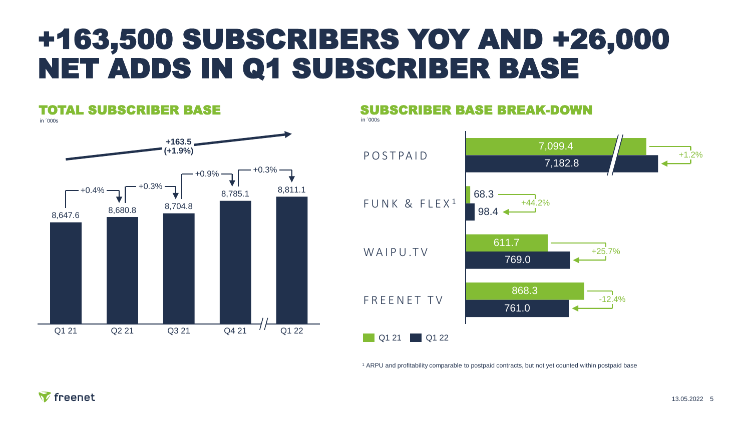### +163,500 SUBSCRIBERS YOY AND +26,000 NET ADDS IN Q1 SUBSCRIBER BASE



<sup>1</sup> ARPU and profitability comparable to postpaid contracts, but not yet counted within postpaid base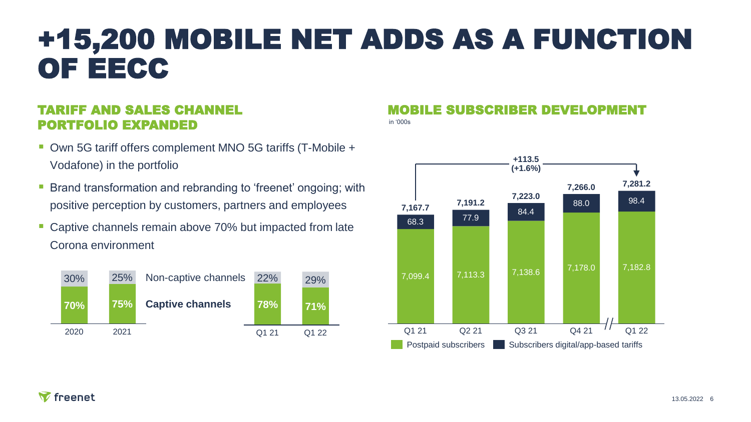### +15,200 MOBILE NET ADDS AS A FUNCTION OF EECC

#### TARIFF AND SALES CHANNEL PORTFOLIO EXPANDED

- Own 5G tariff offers complement MNO 5G tariffs (T-Mobile + Vodafone) in the portfolio
- **EXT** Brand transformation and rebranding to 'freenet' ongoing; with positive perception by customers, partners and employees
- Captive channels remain above 70% but impacted from late Corona environment



#### in '000s MOBILE SUBSCRIBER DEVELOPMENT

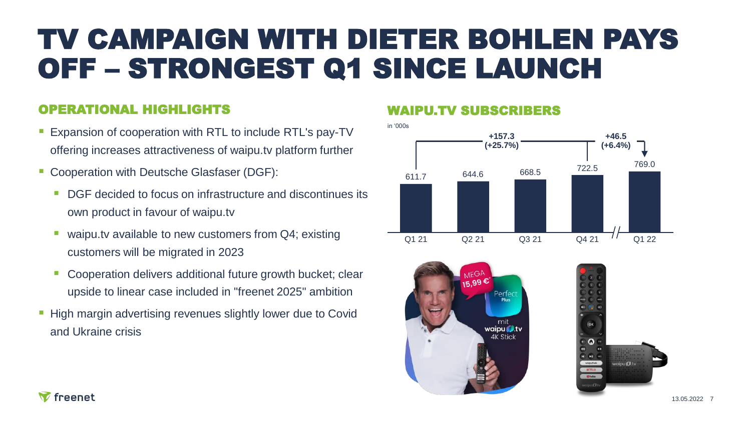### TV CAMPAIGN WITH DIETER BOHLEN PAYS OFF – STRONGEST Q1 SINCE LAUNCH

#### OPERATIONAL HIGHLIGHTS

- Expansion of cooperation with RTL to include RTL's pay-TV offering increases attractiveness of waipu.tv platform further
- Cooperation with Deutsche Glasfaser (DGF):
	- DGF decided to focus on infrastructure and discontinues its own product in favour of waipu.tv
	- waipu.tv available to new customers from Q4; existing customers will be migrated in 2023
	- Cooperation delivers additional future growth bucket; clear upside to linear case included in "freenet 2025" ambition
- High margin advertising revenues slightly lower due to Covid and Ukraine crisis

#### WAIPU.TV SUBSCRIBERS





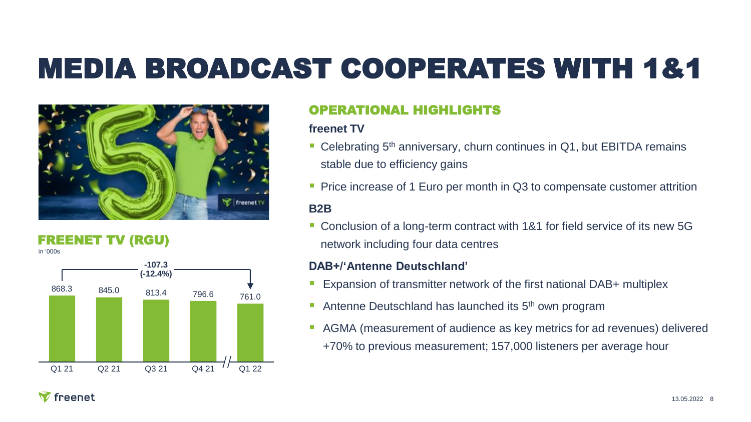## MEDIA BROADCAST COOPERATES WITH 1&1



#### FREENET TV (RGU)

in '000s



#### OPERATIONAL HIGHLIGHTS

#### **freenet TV**

- Celebrating 5<sup>th</sup> anniversary, churn continues in Q1, but EBITDA remains stable due to efficiency gains
- **Price increase of 1 Euro per month in Q3 to compensate customer attrition**

#### **B2B**

■ Conclusion of a long-term contract with 1&1 for field service of its new 5G network including four data centres

#### **DAB+/'Antenne Deutschland'**

- Expansion of transmitter network of the first national DAB+ multiplex
- **E** Antenne Deutschland has launched its  $5<sup>th</sup>$  own program
- AGMA (measurement of audience as key metrics for ad revenues) delivered +70% to previous measurement; 157,000 listeners per average hour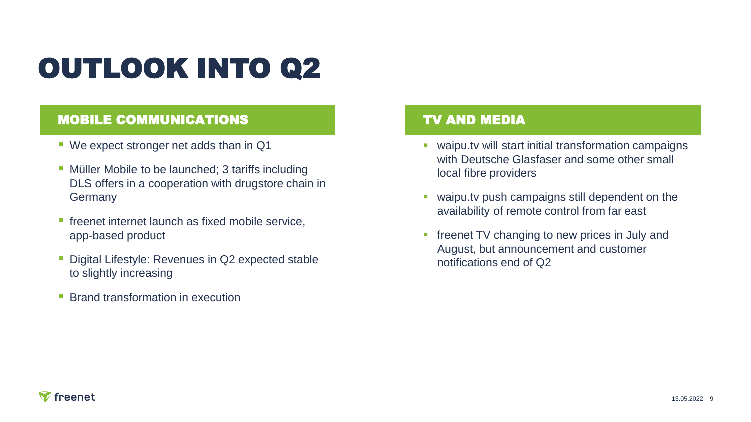## OUTLOOK INTO Q2

#### MOBILE COMMUNICATIONS TO TV AND MEDIA

- We expect stronger net adds than in Q1
- **Müller Mobile to be launched; 3 tariffs including** DLS offers in a cooperation with drugstore chain in Germany
- **F** freenet internet launch as fixed mobile service, app-based product
- **Digital Lifestyle: Revenues in Q2 expected stable** to slightly increasing
- Brand transformation in execution

- waipu.tv will start initial transformation campaigns with Deutsche Glasfaser and some other small local fibre providers
- waipu.tv push campaigns still dependent on the availability of remote control from far east
- **freenet TV changing to new prices in July and** August, but announcement and customer notifications end of Q2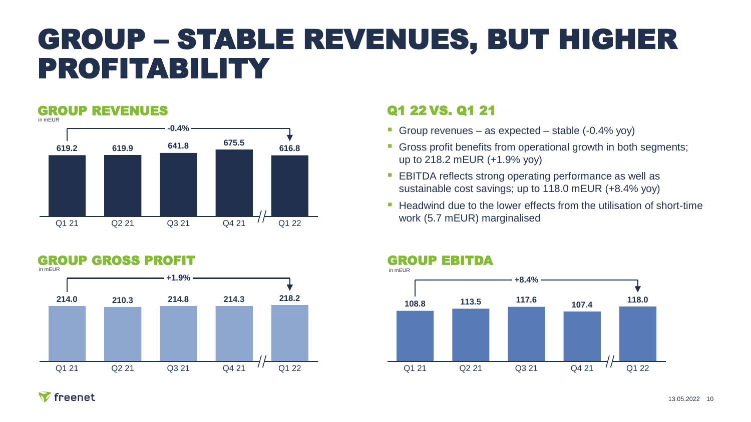### GROUP – STABLE REVENUES, BUT HIGHER PROFITABILITY

#### GROUP REVENUES





#### Q1 22 VS. Q1 21

- **Group revenues as expected stable (-0.4% yoy)**
- **Gross profit benefits from operational growth in both segments;** up to 218.2 mEUR (+1.9% yoy)
- EBITDA reflects strong operating performance as well as sustainable cost savings; up to 118.0 mEUR (+8.4% yoy)
- Headwind due to the lower effects from the utilisation of short-time

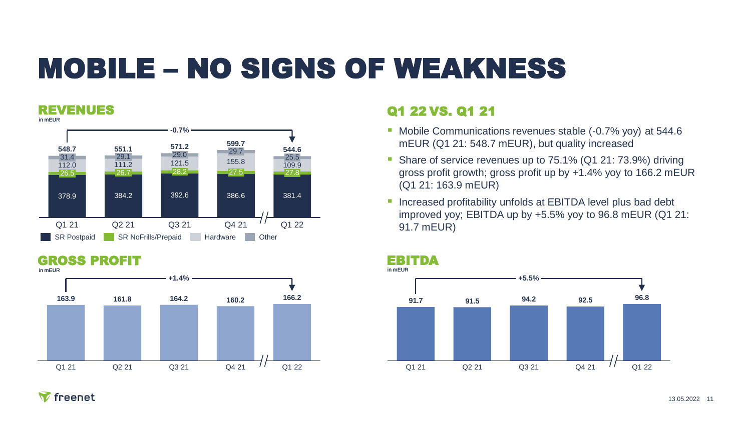## MOBILE – NO SIGNS OF WEAKNESS

#### REVENUES



### GROSS PROFIT EBITDA



#### Q1 22 VS. Q1 21

- Mobile Communications revenues stable (-0.7% yoy) at 544.6 mEUR (Q1 21: 548.7 mEUR), but quality increased
- Share of service revenues up to 75.1% (Q1 21: 73.9%) driving gross profit growth; gross profit up by +1.4% yoy to 166.2 mEUR (Q1 21: 163.9 mEUR)
- **EXTERNAL Increased profitability unfolds at EBITDA level plus bad debt** improved yoy; EBITDA up by +5.5% yoy to 96.8 mEUR (Q1 21: 91.7 mEUR)

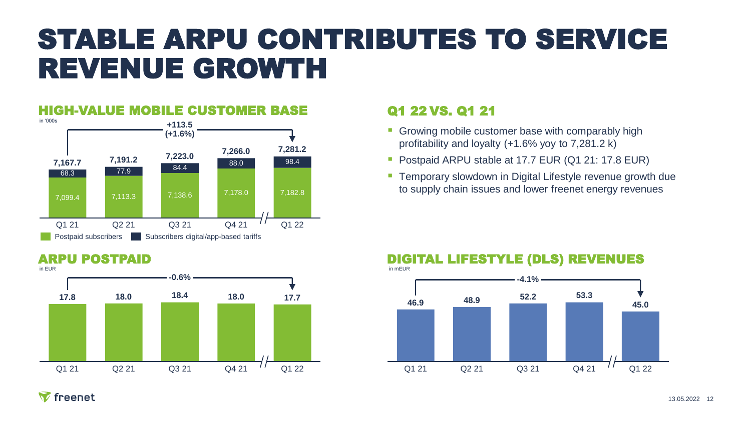### STABLE ARPU CONTRIBUTES TO SERVICE REVENUE GROWTH

#### HIGH-VALUE MOBILE CUSTOMER BASE



### Q1 22 VS. Q1 21

- **Growing mobile customer base with comparably high** profitability and loyalty (+1.6% yoy to 7,281.2 k)
- **Postpaid ARPU stable at 17.7 EUR (Q1 21: 17.8 EUR)**
- **EXT** Temporary slowdown in Digital Lifestyle revenue growth due to supply chain issues and lower freenet energy revenues



#### ARPU POSTPAID

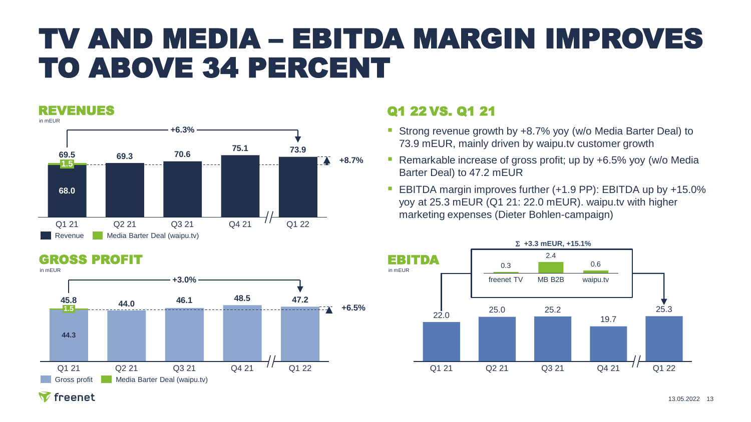### TV AND MEDIA – EBITDA MARGIN IMPROVES TO ABOVE 34 PERCENT

#### REVENUES



### Q1 22 VS. Q1 21

- Strong revenue growth by +8.7% yoy (w/o Media Barter Deal) to 73.9 mEUR, mainly driven by waipu.tv customer growth
- Remarkable increase of gross profit; up by +6.5% yoy (w/o Media Barter Deal) to 47.2 mEUR
- EBITDA margin improves further (+1.9 PP): EBITDA up by +15.0% yoy at 25.3 mEUR (Q1 21: 22.0 mEUR). waipu.tv with higher marketing expenses (Dieter Bohlen-campaign)



#### GROSS PROFIT



#### 13.05.2022 13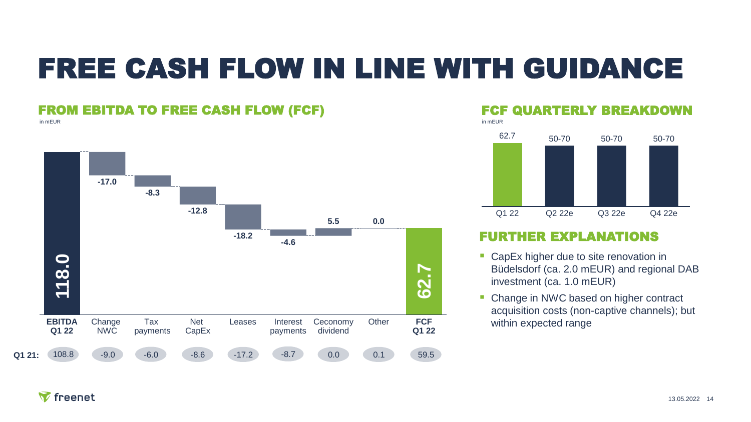### FREE CASH FLOW IN LINE WITH GUIDANCE

#### FROM EBITDA TO FREE CASH FLOW (FCF)

in mEUR



#### FCF QUARTERLY BREAKDOWN in mEUR



#### FURTHER EXPLANATIONS

- CapEx higher due to site renovation in Büdelsdorf (ca. 2.0 mEUR) and regional DAB investment (ca. 1.0 mEUR)
- Change in NWC based on higher contract acquisition costs (non-captive channels); but within expected range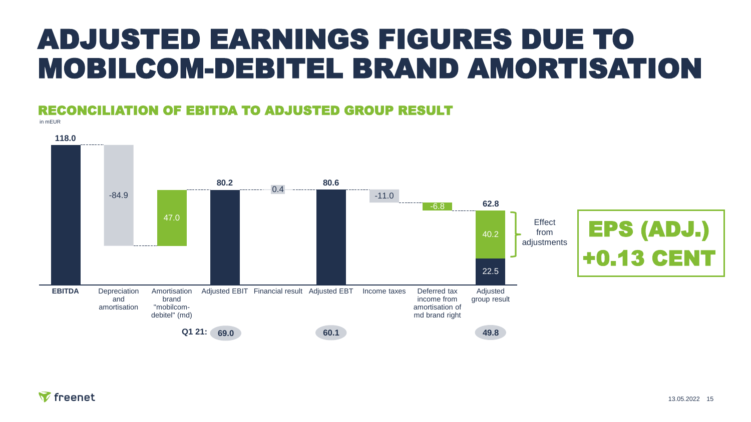### ADJUSTED EARNINGS FIGURES DUE TO MOBILCOM-DEBITEL BRAND AMORTISATION

#### RECONCILIATION OF EBITDA TO ADJUSTED GROUP RESULT

in mEUR

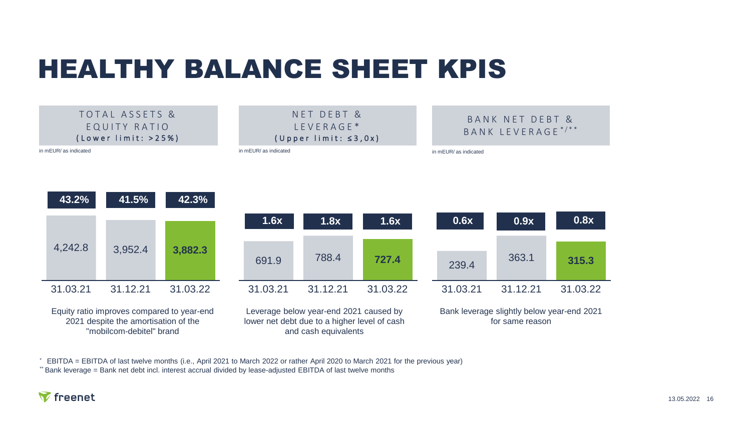### HEALTHY BALANCE SHEET KPIS



EBITDA = EBITDA of last twelve months (i.e., April 2021 to March 2022 or rather April 2020 to March 2021 for the previous year)

\*\* Bank leverage = Bank net debt incl. interest accrual divided by lease-adjusted EBITDA of last twelve months

#### $\nabla$  freenet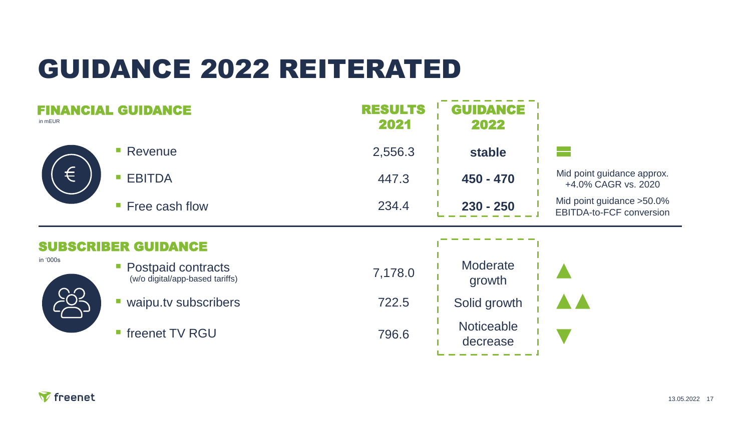### GUIDANCE 2022 REITERATED

| in mEUR    | DANGE                                                       | <b>RESULTS</b><br>2021 | <b>GUIDANCE</b><br>2022 |                                                        |
|------------|-------------------------------------------------------------|------------------------|-------------------------|--------------------------------------------------------|
| €          | Revenue<br>H.                                               | 2,556.3                | stable                  |                                                        |
|            | <b>EBITDA</b><br>o.                                         | 447.3                  | $450 - 470$             | Mid point guidance approx.<br>+4.0% CAGR vs. 2020      |
|            | Free cash flow<br>$\mathcal{C}$                             | 234.4                  | $230 - 250$             | Mid point guidance > 50.0%<br>EBITDA-to-FCF conversion |
|            | <b>GUIDANCE</b>                                             |                        |                         |                                                        |
| in '000s   |                                                             |                        |                         |                                                        |
|            | Postpaid contracts<br>T.<br>(w/o digital/app-based tariffs) | 7,178.0                | Moderate<br>growth      |                                                        |
| <u>io-</u> | waipu.tv subscribers<br>г                                   | 722.5                  | Solid growth            |                                                        |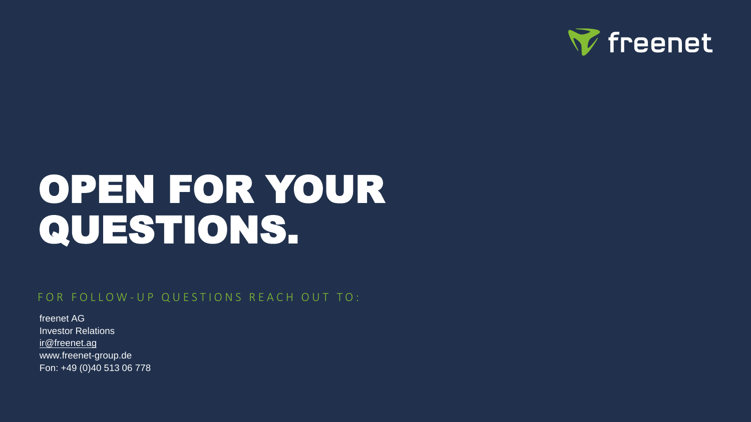

# QUESTIONS. OPEN FOR YOUR

#### FOR FOLLOW-UP QUESTIONS REACH OUT TO:

freenet AG Investor Relations [ir@freenet.ag](mailto:ir@freenet.ag) www.freenet-group.de Fon: +49 (0)40 513 06 778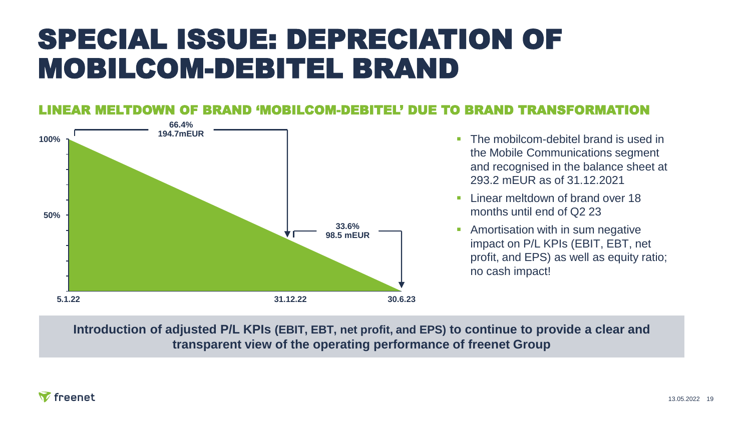### SPECIAL ISSUE: DEPRECIATION OF MOBILCOM-DEBITEL BRAND

### OF BRAND 'MOBILCOM-DEBITEL' DUE TO BRAND TRANSFORMATION



- The mobilcom-debitel brand is used in the Mobile Communications segment and recognised in the balance sheet at 293.2 mEUR as of 31.12.2021
- **E** Linear meltdown of brand over 18 months until end of Q2 23
- **Amortisation with in sum negative** impact on P/L KPIs (EBIT, EBT, net profit, and EPS) as well as equity ratio; no cash impact!

**Introduction of adjusted P/L KPIs (EBIT, EBT, net profit, and EPS) to continue to provide a clear and transparent view of the operating performance of freenet Group**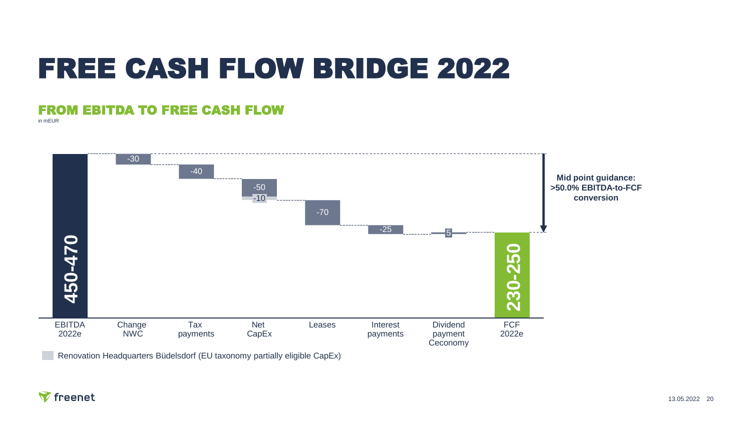### FREE CASH FLOW BRIDGE 2022

#### FROM EBITDA TO FREE CASH FLOW

in mEUR



Renovation Headquarters Büdelsdorf (EU taxonomy partially eligible CapEx)

#### **Y** freenet